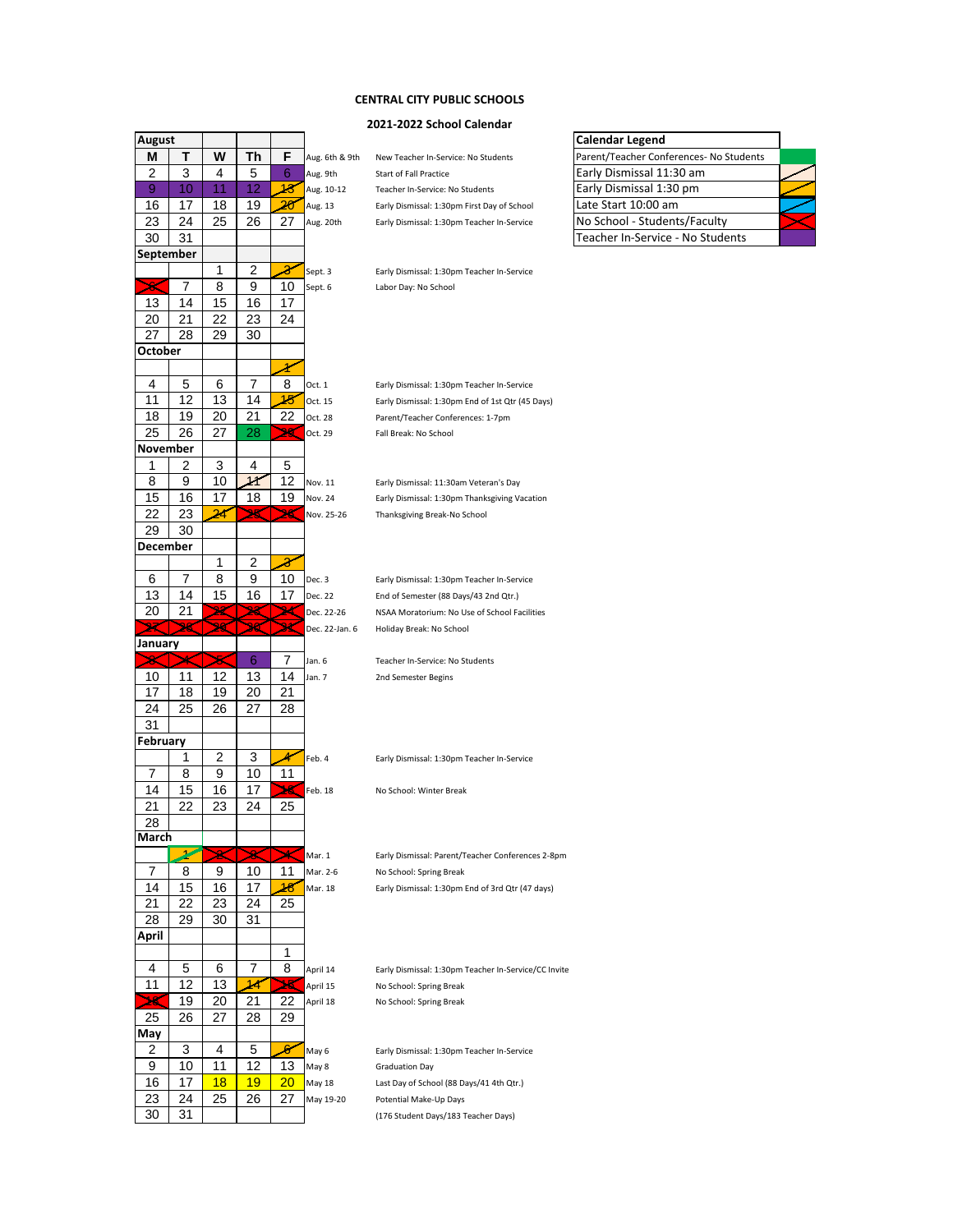# **CENTRAL CITY PUBLIC SCHOOLS**

### **2021-2022 School Calendar**

| <b>August</b>           |    |                          |    |    |                |                                                      | <b>Calendar Legend</b>                  |
|-------------------------|----|--------------------------|----|----|----------------|------------------------------------------------------|-----------------------------------------|
| M                       | Т  | W                        | Τh | F  | Aug. 6th & 9th | New Teacher In-Service: No Students                  | Parent/Teacher Conferences- No Students |
| 2                       | 3  | 4                        | 5  | 6  | Aug. 9th       | Start of Fall Practice                               | Early Dismissal 11:30 am                |
| 9                       | 10 | 11                       | 12 | 18 | Aug. 10-12     | Teacher In-Service: No Students                      | Early Dismissal 1:30 pm                 |
| 16                      | 17 | 18                       | 19 | 20 | Aug. 13        | Early Dismissal: 1:30pm First Day of School          | Late Start 10:00 am                     |
| 23                      | 24 | 25                       | 26 | 27 | Aug. 20th      | Early Dismissal: 1:30pm Teacher In-Service           | No School - Students/Faculty            |
| 30                      | 31 |                          |    |    |                |                                                      | Teacher In-Service - No Students        |
| September               |    |                          |    |    |                |                                                      |                                         |
|                         |    | 1                        | 2  | 8  | Sept. 3        | Early Dismissal: 1:30pm Teacher In-Service           |                                         |
| $\overline{\mathbf{x}}$ | 7  | 8                        | 9  | 10 | Sept. 6        | Labor Day: No School                                 |                                         |
| 13                      | 14 | 15                       | 16 | 17 |                |                                                      |                                         |
| 20                      | 21 | 22                       | 23 | 24 |                |                                                      |                                         |
| 27                      | 28 | 29                       | 30 |    |                |                                                      |                                         |
| October                 |    |                          |    |    |                |                                                      |                                         |
|                         |    |                          |    | r  |                |                                                      |                                         |
| 4                       | 5  | 6                        | 7  | 8  | Oct. 1         | Early Dismissal: 1:30pm Teacher In-Service           |                                         |
| 11                      | 12 | 13                       | 14 | 15 | Oct. 15        | Early Dismissal: 1:30pm End of 1st Qtr (45 Days)     |                                         |
| 18                      | 19 | 20                       | 21 | 22 | Oct. 28        | Parent/Teacher Conferences: 1-7pm                    |                                         |
| 25                      | 26 | 27                       | 28 | 29 | Oct. 29        | Fall Break: No School                                |                                         |
| November                |    |                          |    |    |                |                                                      |                                         |
| 1                       | 2  | 3                        | 4  | 5  |                |                                                      |                                         |
| 8                       | 9  | 10                       |    | 12 |                |                                                      |                                         |
|                         |    |                          | 11 |    | Nov. 11        | Early Dismissal: 11:30am Veteran's Day               |                                         |
| 15                      | 16 | 17                       | 18 | 19 | Nov. 24        | Early Dismissal: 1:30pm Thanksgiving Vacation        |                                         |
| 22                      | 23 | 24                       | 25 | 26 | Nov. 25-26     | Thanksgiving Break-No School                         |                                         |
| 29                      | 30 |                          |    |    |                |                                                      |                                         |
| December                |    |                          |    |    |                |                                                      |                                         |
|                         |    | 1                        | 2  | X  |                |                                                      |                                         |
| 6                       | 7  | 8                        | 9  | 10 | Dec. 3         | Early Dismissal: 1:30pm Teacher In-Service           |                                         |
| 13                      | 14 | 15                       | 16 | 17 | Dec. 22        | End of Semester (88 Days/43 2nd Qtr.)                |                                         |
| 20                      | 21 | 22                       | 28 | 24 | Dec. 22-26     | NSAA Moratorium: No Use of School Facilities         |                                         |
|                         | 26 |                          | 30 | 34 | Dec. 22-Jan. 6 | Holiday Break: No School                             |                                         |
| January                 |    |                          |    |    |                |                                                      |                                         |
|                         | ∗  | 25                       | 6  | 7  | Jan. 6         | Teacher In-Service: No Students                      |                                         |
|                         |    |                          |    |    | Jan. 7         | 2nd Semester Begins                                  |                                         |
| 10                      | 11 | 12                       | 13 | 14 |                |                                                      |                                         |
| 17                      | 18 | 19                       | 20 | 21 |                |                                                      |                                         |
| 24                      | 25 | 26                       | 27 | 28 |                |                                                      |                                         |
| 31                      |    |                          |    |    |                |                                                      |                                         |
| February                |    |                          |    |    |                |                                                      |                                         |
|                         | 1  | 2                        | 3  |    | Feb. 4         | Early Dismissal: 1:30pm Teacher In-Service           |                                         |
| 7                       | 8  | 9                        | 10 | 11 |                |                                                      |                                         |
| 14                      | 15 | 16                       | 17 | 18 | Feb. 18        | No School: Winter Break                              |                                         |
| 21                      | 22 | 23                       | 24 | 25 |                |                                                      |                                         |
| 28                      |    |                          |    |    |                |                                                      |                                         |
| March                   |    |                          |    |    |                |                                                      |                                         |
|                         | ₽  | $\boldsymbol{\varkappa}$ |    | ≭  | Mar. 1         | Early Dismissal: Parent/Teacher Conferences 2-8pm    |                                         |
| 7                       | 8  | 9                        | 10 | 11 | Mar. 2-6       | No School: Spring Break                              |                                         |
| 14                      | 15 | 16                       | 17 | 48 | Mar. 18        | Early Dismissal: 1:30pm End of 3rd Qtr (47 days)     |                                         |
| 21                      | 22 | 23                       | 24 | 25 |                |                                                      |                                         |
| 28                      | 29 | 30                       | 31 |    |                |                                                      |                                         |
| April                   |    |                          |    |    |                |                                                      |                                         |
|                         |    |                          |    | 1  |                |                                                      |                                         |
| 4                       | 5  | 6                        | 7  | 8  | April 14       | Early Dismissal: 1:30pm Teacher In-Service/CC Invite |                                         |
| 11                      | 12 | 13                       | 14 | ≯5 | April 15       | No School: Spring Break                              |                                         |
| ≯8                      | 19 | 20                       | 21 | 22 | April 18       | No School: Spring Break                              |                                         |
| 25                      | 26 | 27                       | 28 | 29 |                |                                                      |                                         |
| May                     |    |                          |    |    |                |                                                      |                                         |
| 2                       | 3  | 4                        | 5  | 8  | May 6          | Early Dismissal: 1:30pm Teacher In-Service           |                                         |
| 9                       | 10 | 11                       | 12 | 13 | May 8          | <b>Graduation Day</b>                                |                                         |
| 16                      | 17 | 18                       | 19 | 20 | May 18         | Last Day of School (88 Days/41 4th Qtr.)             |                                         |
| 23                      | 24 | 25                       | 26 | 27 | May 19-20      | Potential Make-Up Days                               |                                         |

| New Teacher In-Service: No Students       |
|-------------------------------------------|
| <b>Start of Fall Practice</b>             |
| Teacher In-Service: No Students           |
| Early Dismissal: 1:30pm First Day of Scho |
| Early Dismissal: 1:30pm Teacher In-Servi  |
|                                           |

Early Dismissal: 1:30pm Teacher In-Service Graduation Day Last Day of School (88 Days/41 4th Qtr.) Potential Make-Up Days 30 31 (176 Student Days/183 Teacher Days)

| Calcilual Legellu                       |  |
|-----------------------------------------|--|
| Parent/Teacher Conferences- No Students |  |
| Early Dismissal 11:30 am                |  |
| Early Dismissal 1:30 pm                 |  |
| Late Start 10:00 am                     |  |
| No School - Students/Faculty            |  |
| Teacher In-Service - No Students        |  |